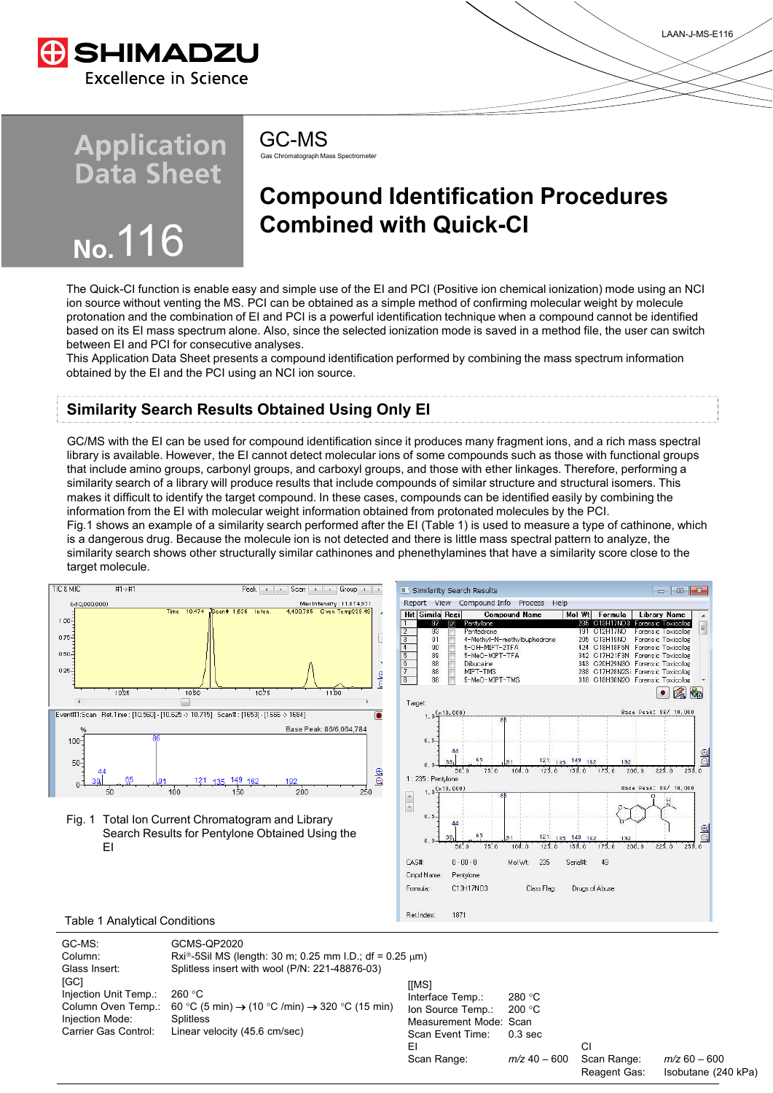

# **Application<br>Data Sheet**



Gas Chromatograph Mass Spectromete GC-MS

## **Compound Identification Procedures Combined with Quick-CI**

The Quick-CI function is enable easy and simple use of the EI and PCI (Positive ion chemical ionization) mode using an NCI ion source without venting the MS. PCI can be obtained as a simple method of confirming molecular weight by molecule protonation and the combination of EI and PCI is a powerful identification technique when a compound cannot be identified based on its EI mass spectrum alone. Also, since the selected ionization mode is saved in a method file, the user can switch between EI and PCI for consecutive analyses.

This Application Data Sheet presents a compound identification performed by combining the mass spectrum information obtained by the EI and the PCI using an NCI ion source.

### **Similarity Search Results Obtained Using Only EI**

GC/MS with the EI can be used for compound identification since it produces many fragment ions, and a rich mass spectral library is available. However, the EI cannot detect molecular ions of some compounds such as those with functional groups that include amino groups, carbonyl groups, and carboxyl groups, and those with ether linkages. Therefore, performing a similarity search of a library will produce results that include compounds of similar structure and structural isomers. This makes it difficult to identify the target compound. In these cases, compounds can be identified easily by combining the information from the EI with molecular weight information obtained from protonated molecules by the PCI.

Fig.1 shows an example of a similarity search performed after the EI (Table 1) is used to measure a type of cathinone, which is a dangerous drug. Because the molecule ion is not detected and there is little mass spectral pattern to analyze, the similarity search shows other structurally similar cathinones and phenethylamines that have a similarity score close to the target molecule.



Scan Event Time: 0.3 sec EI CI Scan Range: *m/z* 40 – 600 Scan Range: *m/z* 60 – 600

Isobutane (240 kPa)

LAAN-J-MS-E116